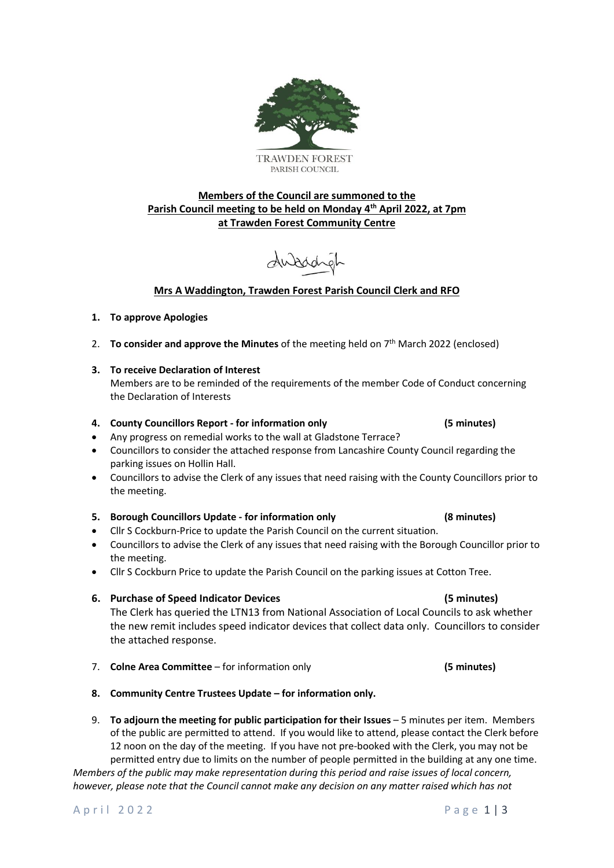



# **Members of the Council are summoned to the Parish Council meeting to be held on Monday 4 th April 2022, at 7pm at Trawden Forest Community Centre**

duaddyl

# **Mrs A Waddington, Trawden Forest Parish Council Clerk and RFO**

# **1. To approve Apologies**

- 2. To consider and approve the Minutes of the meeting held on 7<sup>th</sup> March 2022 (enclosed)
- **3. To receive Declaration of Interest**

Members are to be reminded of the requirements of the member Code of Conduct concerning the Declaration of Interests

# **4. County Councillors Report - for information only (5 minutes)**

- Any progress on remedial works to the wall at Gladstone Terrace?
- Councillors to consider the attached response from Lancashire County Council regarding the parking issues on Hollin Hall.
- Councillors to advise the Clerk of any issues that need raising with the County Councillors prior to the meeting.

# **5. Borough Councillors Update - for information only (8 minutes)**

- Cllr S Cockburn-Price to update the Parish Council on the current situation.
- Councillors to advise the Clerk of any issues that need raising with the Borough Councillor prior to the meeting.
- Cllr S Cockburn Price to update the Parish Council on the parking issues at Cotton Tree.

# **6. Purchase of Speed Indicator Devices (5 minutes)**

The Clerk has queried the LTN13 from National Association of Local Councils to ask whether the new remit includes speed indicator devices that collect data only. Councillors to consider the attached response.

- 7. **Colne Area Committee** for information only **(5 minutes)**
- **8. Community Centre Trustees Update – for information only.**
- 9. **To adjourn the meeting for public participation for their Issues** 5 minutes per item. Members of the public are permitted to attend. If you would like to attend, please contact the Clerk before 12 noon on the day of the meeting. If you have not pre-booked with the Clerk, you may not be permitted entry due to limits on the number of people permitted in the building at any one time.

*Members of the public may make representation during this period and raise issues of local concern, however, please note that the Council cannot make any decision on any matter raised which has not*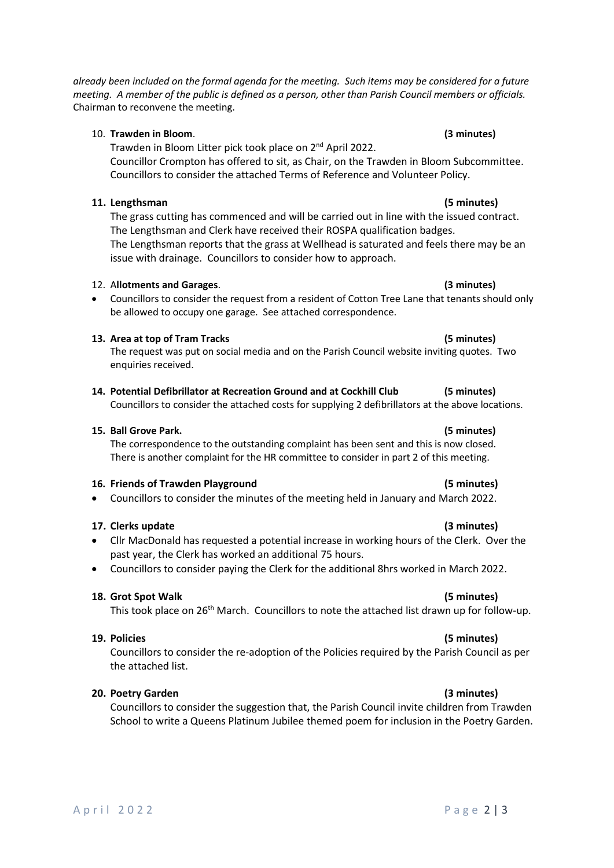*already been included on the formal agenda for the meeting. Such items may be considered for a future meeting. A member of the public is defined as a person, other than Parish Council members or officials.* Chairman to reconvene the meeting.

## 10. **Trawden in Bloom**. **(3 minutes)**

Trawden in Bloom Litter pick took place on 2nd April 2022.

Councillor Crompton has offered to sit, as Chair, on the Trawden in Bloom Subcommittee. Councillors to consider the attached Terms of Reference and Volunteer Policy.

## **11. Lengthsman (5 minutes)**

The grass cutting has commenced and will be carried out in line with the issued contract. The Lengthsman and Clerk have received their ROSPA qualification badges. The Lengthsman reports that the grass at Wellhead is saturated and feels there may be an issue with drainage. Councillors to consider how to approach.

### 12. A**llotments and Garages**. **(3 minutes)**

• Councillors to consider the request from a resident of Cotton Tree Lane that tenants should only be allowed to occupy one garage. See attached correspondence.

### **13. Area at top of Tram Tracks (5 minutes)**

The request was put on social media and on the Parish Council website inviting quotes. Two enquiries received.

**14. Potential Defibrillator at Recreation Ground and at Cockhill Club (5 minutes)** Councillors to consider the attached costs for supplying 2 defibrillators at the above locations.

### **15. Ball Grove Park. (5 minutes)**

The correspondence to the outstanding complaint has been sent and this is now closed. There is another complaint for the HR committee to consider in part 2 of this meeting.

### **16. Friends of Trawden Playground (5 minutes)**

• Councillors to consider the minutes of the meeting held in January and March 2022.

## **17. Clerks update (3 minutes)**

- Cllr MacDonald has requested a potential increase in working hours of the Clerk. Over the past year, the Clerk has worked an additional 75 hours.
- Councillors to consider paying the Clerk for the additional 8hrs worked in March 2022.

### **18. Grot Spot Walk (5 minutes)**

This took place on 26<sup>th</sup> March. Councillors to note the attached list drawn up for follow-up.

### **19. Policies (5 minutes)**

Councillors to consider the re-adoption of the Policies required by the Parish Council as per the attached list.

## **20. Poetry Garden (3 minutes)**

Councillors to consider the suggestion that, the Parish Council invite children from Trawden School to write a Queens Platinum Jubilee themed poem for inclusion in the Poetry Garden.